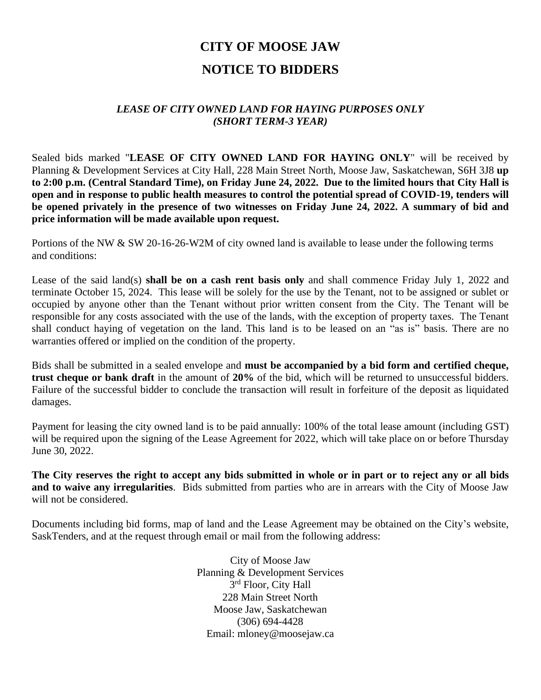# **CITY OF MOOSE JAW NOTICE TO BIDDERS**

### *LEASE OF CITY OWNED LAND FOR HAYING PURPOSES ONLY (SHORT TERM-3 YEAR)*

Sealed bids marked "**LEASE OF CITY OWNED LAND FOR HAYING ONLY**" will be received by Planning & Development Services at City Hall, 228 Main Street North, Moose Jaw, Saskatchewan, S6H 3J8 **up to 2:00 p.m. (Central Standard Time), on Friday June 24, 2022. Due to the limited hours that City Hall is open and in response to public health measures to control the potential spread of COVID-19, tenders will be opened privately in the presence of two witnesses on Friday June 24, 2022. A summary of bid and price information will be made available upon request.**

Portions of the NW & SW 20-16-26-W2M of city owned land is available to lease under the following terms and conditions:

Lease of the said land(s) **shall be on a cash rent basis only** and shall commence Friday July 1, 2022 and terminate October 15, 2024. This lease will be solely for the use by the Tenant, not to be assigned or sublet or occupied by anyone other than the Tenant without prior written consent from the City. The Tenant will be responsible for any costs associated with the use of the lands, with the exception of property taxes. The Tenant shall conduct haying of vegetation on the land. This land is to be leased on an "as is" basis. There are no warranties offered or implied on the condition of the property.

Bids shall be submitted in a sealed envelope and **must be accompanied by a bid form and certified cheque, trust cheque or bank draft** in the amount of **20%** of the bid, which will be returned to unsuccessful bidders. Failure of the successful bidder to conclude the transaction will result in forfeiture of the deposit as liquidated damages.

Payment for leasing the city owned land is to be paid annually: 100% of the total lease amount (including GST) will be required upon the signing of the Lease Agreement for 2022, which will take place on or before Thursday June 30, 2022.

**The City reserves the right to accept any bids submitted in whole or in part or to reject any or all bids and to waive any irregularities**. Bids submitted from parties who are in arrears with the City of Moose Jaw will not be considered.

Documents including bid forms, map of land and the Lease Agreement may be obtained on the City's website, SaskTenders, and at the request through email or mail from the following address:

> City of Moose Jaw Planning & Development Services 3<sup>rd</sup> Floor, City Hall 228 Main Street North Moose Jaw, Saskatchewan (306) 694-4428 Email: mloney@moosejaw.ca